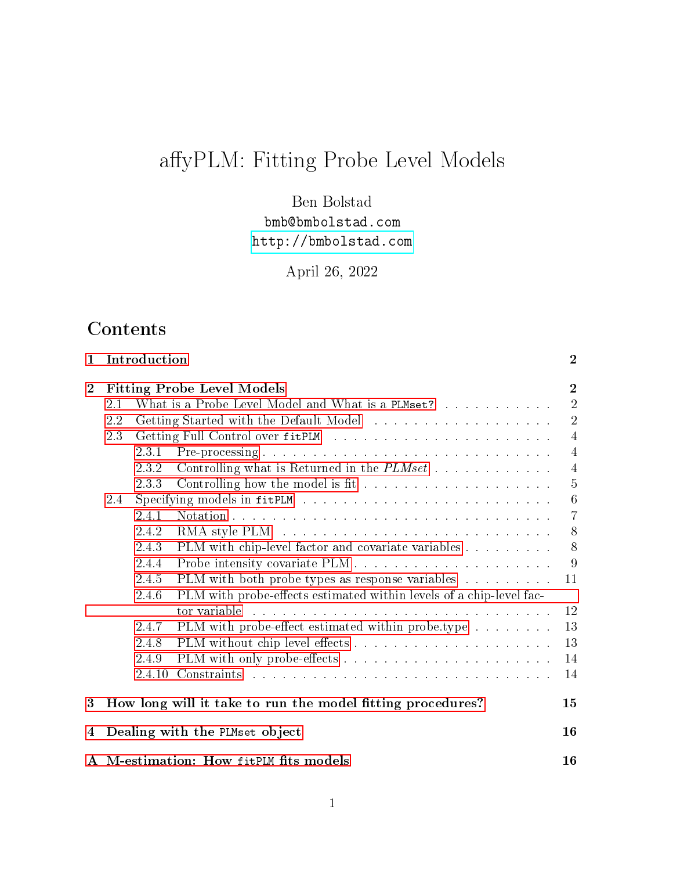# affyPLM: Fitting Probe Level Models

Ben Bolstad bmb@bmbolstad.com <http://bmbolstad.com>

April 26, 2022

## **Contents**

| 1              |     | Introduction |                                                                       | $\boldsymbol{2}$ |
|----------------|-----|--------------|-----------------------------------------------------------------------|------------------|
| $\overline{2}$ |     |              | <b>Fitting Probe Level Models</b>                                     | $\overline{2}$   |
|                | 2.1 |              | What is a Probe Level Model and What is a PLMset?                     | $\overline{2}$   |
|                | 2.2 |              |                                                                       | $\overline{2}$   |
|                | 2.3 |              |                                                                       | $\overline{4}$   |
|                |     | 2.3.1        | Pre-processing                                                        | $\overline{4}$   |
|                |     | 2.3.2        | Controlling what is Returned in the $PLMset$                          | $\overline{4}$   |
|                |     | 2.3.3        | Controlling how the model is fit $\ldots \ldots \ldots \ldots \ldots$ | $\overline{5}$   |
|                | 2.4 |              |                                                                       | $6\phantom{.}6$  |
|                |     | 2.4.1        |                                                                       | $\overline{7}$   |
|                |     | 2.4.2        |                                                                       | 8                |
|                |     | 2.4.3        | PLM with chip-level factor and covariate variables                    | 8                |
|                |     | 2.4.4        |                                                                       | 9                |
|                |     | 2.4.5        | PLM with both probe types as response variables $\dots \dots \dots$   | 11               |
|                |     | 2.4.6        | PLM with probe-effects estimated within levels of a chip-level fac-   |                  |
|                |     |              | tor variable                                                          | 12               |
|                |     | 2.4.7        | PLM with probe-effect estimated within probe.type                     | 13               |
|                |     | 2.4.8        |                                                                       | 13               |
|                |     | 2.4.9        |                                                                       | 14               |
|                |     | 2.4.10       |                                                                       | 14               |
| 3              |     |              | How long will it take to run the model fitting procedures?            | 15               |
| 4              |     |              | Dealing with the PLMset object                                        | 16               |
|                |     |              | A M-estimation: How fitPLM fits models                                | 16               |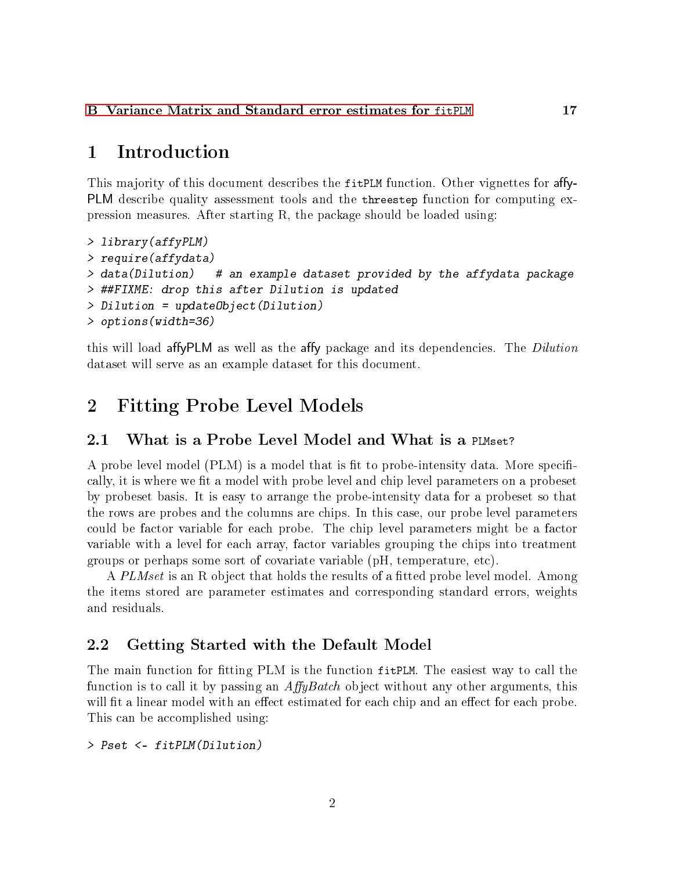[B Variance Matrix and Standard error estimates for](#page-16-0) fitPLM 17

## <span id="page-1-0"></span>1 Introduction

This majority of this document describes the fitPLM function. Other vignettes for affy-PLM describe quality assessment tools and the threestep function for computing expression measures. After starting R, the package should be loaded using:

```
> library(affyPLM)
> require(affydata)
> data(Dilution) # an example dataset provided by the affydata package
> ##FIXME: drop this after Dilution is updated
> Dilution = updateObject(Dilution)
> options(width=36)
```
this will load affyPLM as well as the affy package and its dependencies. The *Dilution* dataset will serve as an example dataset for this document.

## <span id="page-1-1"></span>2 Fitting Probe Level Models

#### <span id="page-1-2"></span>2.1 What is a Probe Level Model and What is a PLMset?

A probe level model (PLM) is a model that is fit to probe-intensity data. More specifically, it is where we fit a model with probe level and chip level parameters on a probeset by probeset basis. It is easy to arrange the probe-intensity data for a probeset so that the rows are probes and the columns are chips. In this case, our probe level parameters could be factor variable for each probe. The chip level parameters might be a factor variable with a level for each array, factor variables grouping the chips into treatment groups or perhaps some sort of covariate variable (pH, temperature, etc).

A PLMset is an R object that holds the results of a fitted probe level model. Among the items stored are parameter estimates and corresponding standard errors, weights and residuals.

#### <span id="page-1-3"></span>2.2 Getting Started with the Default Model

The main function for fitting PLM is the function fit PLM. The easiest way to call the function is to call it by passing an  $AffyBatch$  object without any other arguments, this will fit a linear model with an effect estimated for each chip and an effect for each probe. This can be accomplished using:

> Pset <- fitPLM(Dilution)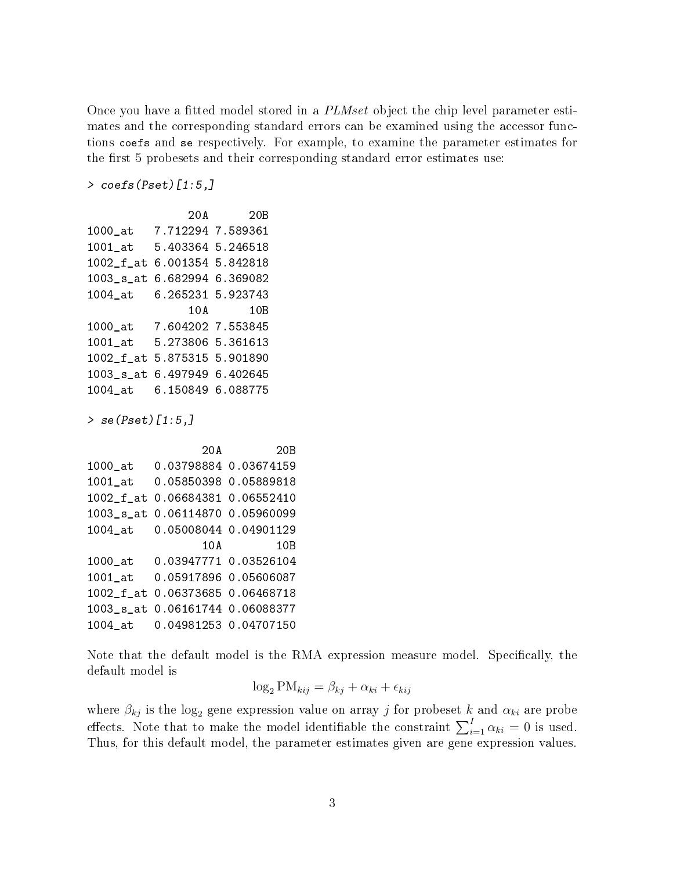Once you have a fitted model stored in a *PLMset* object the chip level parameter estimates and the corresponding standard errors can be examined using the accessor functions coefs and se respectively. For example, to examine the parameter estimates for the first 5 probesets and their corresponding standard error estimates use:

> coefs(Pset)[1:5,]

```
20A 20B
1000_at 7.712294 7.589361
1001_at 5.403364 5.246518
1002_f_at 6.001354 5.842818
1003_s_at 6.682994 6.369082
1004_at 6.265231 5.923743
              10A 10B
1000_at 7.604202 7.553845
1001_at 5.273806 5.361613
1002_f_at 5.875315 5.901890
1003_s_at 6.497949 6.402645
1004_at 6.150849 6.088775
```
> se(Pset)[1:5,]

```
20A 20B
1000_at 0.03798884 0.03674159
1001_at 0.05850398 0.05889818
1002_f_at 0.06684381 0.06552410
1003_s_at 0.06114870 0.05960099
1004_at 0.05008044 0.04901129
                10A 10B
1000_at 0.03947771 0.03526104
1001_at 0.05917896 0.05606087
1002_f_at 0.06373685 0.06468718
1003_s_at 0.06161744 0.06088377
1004_at 0.04981253 0.04707150
```
Note that the default model is the RMA expression measure model. Specifically, the default model is

$$
\log_2 \text{PM}_{kij} = \beta_{kj} + \alpha_{ki} + \epsilon_{kij}
$$

where  $\beta_{kj}$  is the log<sub>2</sub> gene expression value on array  $j$  for probeset  $k$  and  $\alpha_{ki}$  are probe effects. Note that to make the model identifiable the constraint  $\sum_{i=1}^{I} \alpha_{ki} = 0$  is used. Thus, for this default model, the parameter estimates given are gene expression values.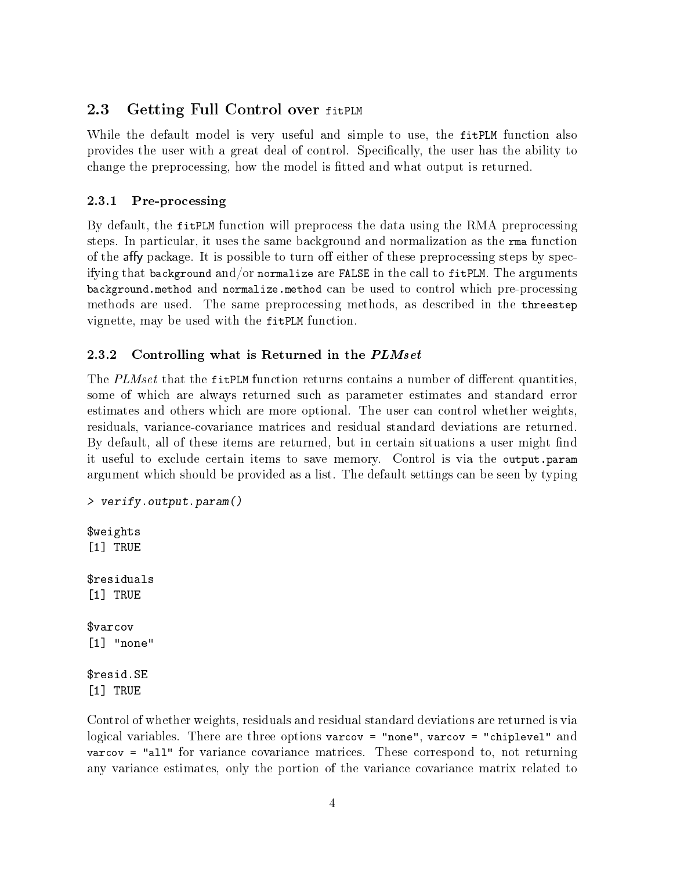## <span id="page-3-0"></span>2.3 Getting Full Control over fitPLM

While the default model is very useful and simple to use, the fitPLM function also provides the user with a great deal of control. Specically, the user has the ability to change the preprocessing, how the model is tted and what output is returned.

### <span id="page-3-1"></span>2.3.1 Pre-processing

By default, the fitPLM function will preprocess the data using the RMA preprocessing steps. In particular, it uses the same background and normalization as the rma function of the affy package. It is possible to turn off either of these preprocessing steps by specifying that background and/or normalize are FALSE in the call to fitPLM. The arguments background.method and normalize.method can be used to control which pre-processing methods are used. The same preprocessing methods, as described in the threestep vignette, may be used with the fitPLM function.

### <span id="page-3-2"></span>2.3.2 Controlling what is Returned in the PLMset

The  $PLMset$  that the fitPLM function returns contains a number of different quantities, some of which are always returned such as parameter estimates and standard error estimates and others which are more optional. The user can control whether weights, residuals, variance-covariance matrices and residual standard deviations are returned. By default, all of these items are returned, but in certain situations a user might find it useful to exclude certain items to save memory. Control is via the output.param argument which should be provided as a list. The default settings can be seen by typing

```
> verify.output.param()
$weights
[1] TRUE
$residuals
[1] TRUE
$varcov
[1] "none"
$resid.SE
[1] TRUE
```
Control of whether weights, residuals and residual standard deviations are returned is via logical variables. There are three options varcov = "none", varcov = "chiplevel" and varcov = "all" for variance covariance matrices. These correspond to, not returning any variance estimates, only the portion of the variance covariance matrix related to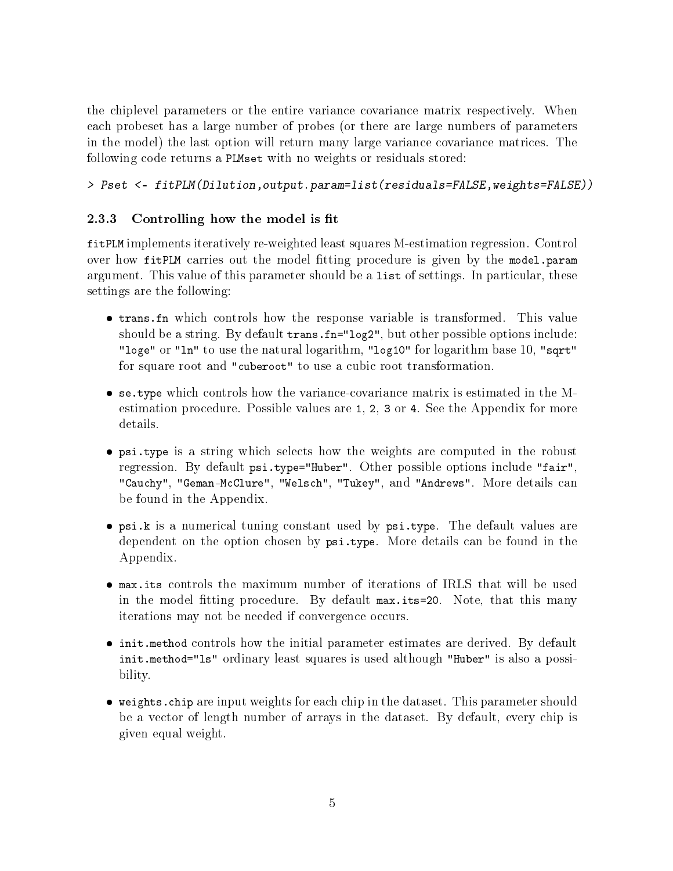the chiplevel parameters or the entire variance covariance matrix respectively. When each probeset has a large number of probes (or there are large numbers of parameters in the model) the last option will return many large variance covariance matrices. The following code returns a PLMset with no weights or residuals stored:

> Pset <- fitPLM(Dilution,output.param=list(residuals=FALSE,weights=FALSE))

### <span id="page-4-0"></span>2.3.3 Controlling how the model is fit

fitPLM implements iteratively re-weighted least squares M-estimation regression. Control over how fitPLM carries out the model fitting procedure is given by the model.param argument. This value of this parameter should be a list of settings. In particular, these settings are the following:

- trans.fn which controls how the response variable is transformed. This value should be a string. By default trans.fn="log2", but other possible options include: "loge" or "ln" to use the natural logarithm, "log10" for logarithm base 10, "sqrt" for square root and "cuberoot" to use a cubic root transformation.
- se.type which controls how the variance-covariance matrix is estimated in the Mestimation procedure. Possible values are 1, 2, 3 or 4. See the Appendix for more details.
- psi.type is a string which selects how the weights are computed in the robust regression. By default psi.type="Huber". Other possible options include "fair", "Cauchy", "Geman-McClure", "Welsch", "Tukey", and "Andrews". More details can be found in the Appendix.
- psi.k is a numerical tuning constant used by psi.type. The default values are dependent on the option chosen by psi.type. More details can be found in the Appendix.
- max.its controls the maximum number of iterations of IRLS that will be used in the model tting procedure. By default max.its=20. Note, that this many iterations may not be needed if convergence occurs.
- init.method controls how the initial parameter estimates are derived. By default init.method="ls" ordinary least squares is used although "Huber" is also a possibility.
- weights.chip are input weights for each chip in the dataset. This parameter should be a vector of length number of arrays in the dataset. By default, every chip is given equal weight.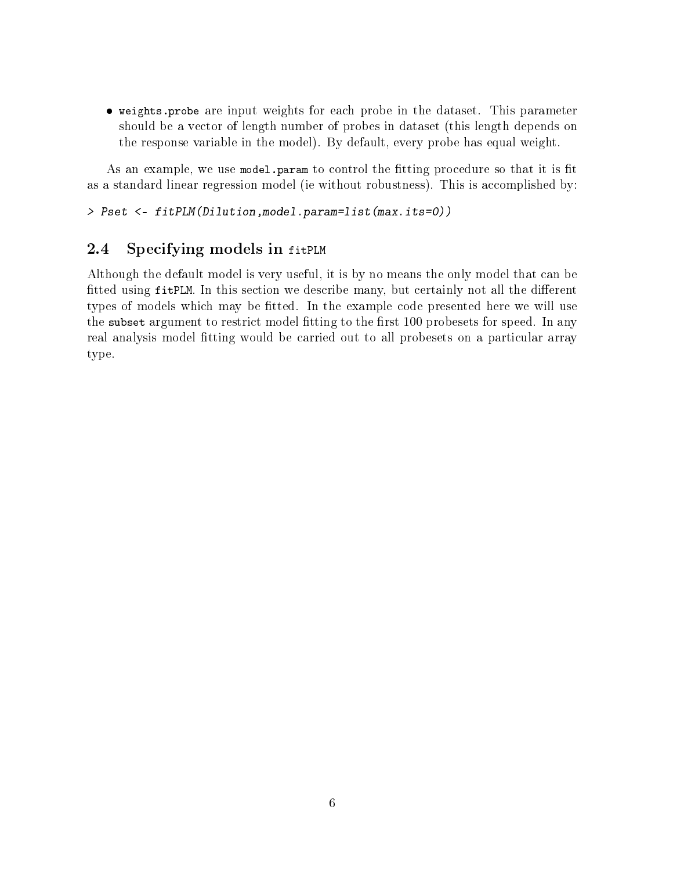weights.probe are input weights for each probe in the dataset. This parameter should be a vector of length number of probes in dataset (this length depends on the response variable in the model). By default, every probe has equal weight.

As an example, we use model.param to control the fitting procedure so that it is fit as a standard linear regression model (ie without robustness). This is accomplished by:

> Pset <- fitPLM(Dilution,model.param=list(max.its=0))

## <span id="page-5-0"></span>2.4 Specifying models in fitPLM

Although the default model is very useful, it is by no means the only model that can be fitted using fitPLM. In this section we describe many, but certainly not all the different types of models which may be tted. In the example code presented here we will use the subset argument to restrict model fitting to the first 100 probesets for speed. In any real analysis model fitting would be carried out to all probesets on a particular array type.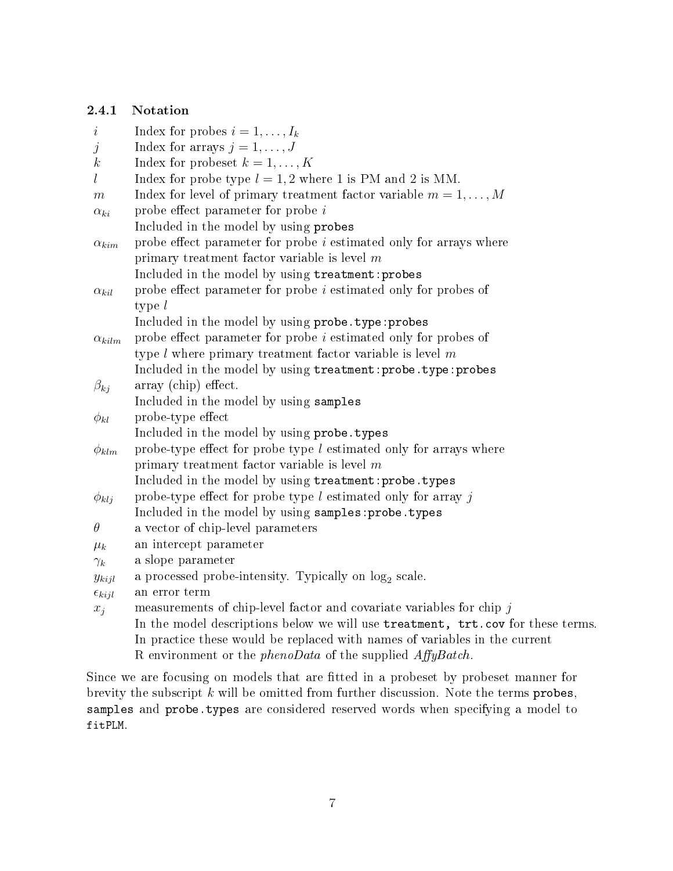### <span id="page-6-0"></span>2.4.1 Notation

| $\dot{\imath}$    | Index for probes $i = 1, \ldots, I_k$                                           |
|-------------------|---------------------------------------------------------------------------------|
| j                 | Index for arrays $j = 1, \ldots, J$                                             |
| $\boldsymbol{k}$  | Index for probeset $k = 1, , K$                                                 |
| l                 | Index for probe type $l = 1, 2$ where 1 is PM and 2 is MM.                      |
| m                 | Index for level of primary treatment factor variable $m = 1, \ldots, M$         |
| $\alpha_{ki}$     | probe effect parameter for probe $i$                                            |
|                   | Included in the model by using probes                                           |
| $\alpha_{kim}$    | probe effect parameter for probe <i>i</i> estimated only for arrays where       |
|                   | primary treatment factor variable is level $m$                                  |
|                   | Included in the model by using treatment: probes                                |
| $\alpha_{kil}$    | probe effect parameter for probe $i$ estimated only for probes of               |
|                   | type $l$                                                                        |
|                   | Included in the model by using probe. type: probes                              |
| $\alpha_{kilm}$   | probe effect parameter for probe $i$ estimated only for probes of               |
|                   | type $l$ where primary treatment factor variable is level $m$                   |
|                   | Included in the model by using treatment: probe. type: probes                   |
| $\beta_{kj}$      | array (chip) effect.                                                            |
|                   | Included in the model by using samples                                          |
| $\phi_{kl}$       | probe-type effect                                                               |
|                   | Included in the model by using probe. types                                     |
| $\phi_{klm}$      | probe-type effect for probe type $l$ estimated only for arrays where            |
|                   | primary treatment factor variable is level $m$                                  |
|                   | Included in the model by using treatment: probe. types                          |
| $\phi_{klj}$      | probe-type effect for probe type $l$ estimated only for array $j$               |
|                   | Included in the model by using samples: probe. types                            |
| $\theta$          | a vector of chip-level parameters                                               |
| $\mu_k$           | an intercept parameter                                                          |
| $\gamma_k$        | a slope parameter                                                               |
| $y_{kijl}$        | a processed probe-intensity. Typically on $log2$ scale.                         |
| $\epsilon_{kijl}$ | an error term                                                                   |
| $x_j$             | measurements of chip-level factor and covariate variables for chip $j$          |
|                   | In the model descriptions below we will use treatment, trt.cov for these terms. |
|                   | In practice these would be replaced with names of variables in the current      |
|                   | R environment or the <i>phenoData</i> of the supplied $AffyBatch$ .             |

Since we are focusing on models that are fitted in a probeset by probeset manner for brevity the subscript  $k$  will be omitted from further discussion. Note the terms probes, samples and probe.types are considered reserved words when specifying a model to fitPLM.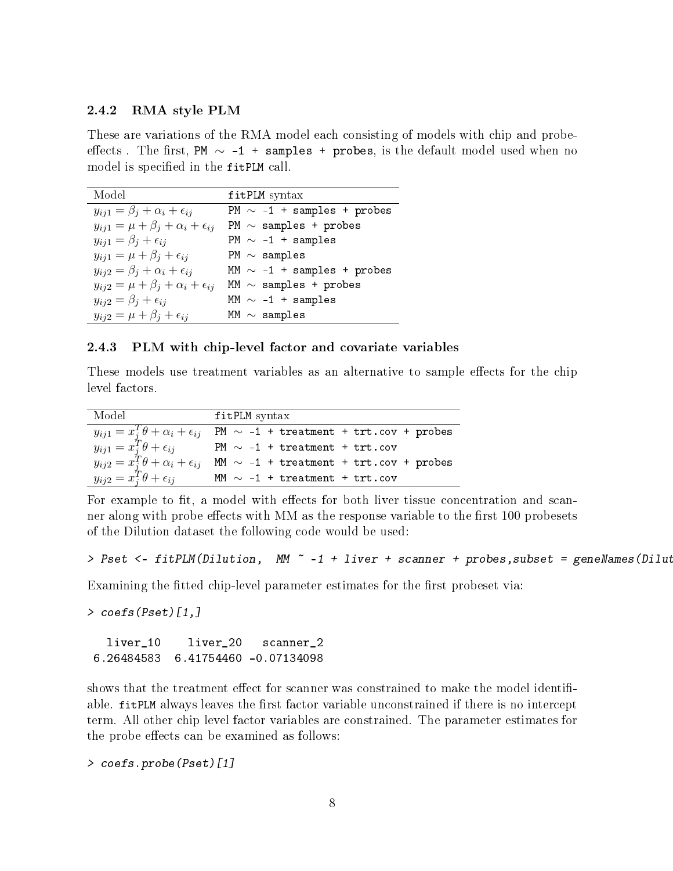#### <span id="page-7-0"></span>2.4.2 RMA style PLM

These are variations of the RMA model each consisting of models with chip and probeeffects. The first, PM  $\sim$  -1 + samples + probes, is the default model used when no model is specified in the fitPLM call.

| Model                                                | fitPLM syntax                   |
|------------------------------------------------------|---------------------------------|
| $y_{ij1} = \beta_j + \alpha_i + \epsilon_{ij}$       | PM $\sim$ -1 + samples + probes |
| $y_{ij1} = \mu + \beta_j + \alpha_i + \epsilon_{ij}$ | PM $\sim$ samples + probes      |
| $y_{ij1} = \beta_i + \epsilon_{ij}$                  | PM $\sim$ -1 + samples          |
| $y_{ij1} = \mu + \beta_j + \epsilon_{ij}$            | PM $\sim$ samples               |
| $y_{ij2} = \beta_j + \alpha_i + \epsilon_{ij}$       | MM $\sim$ -1 + samples + probes |
| $y_{ij2} = \mu + \beta_j + \alpha_i + \epsilon_{ij}$ | MM $\sim$ samples + probes      |
| $y_{ij2} = \beta_i + \epsilon_{ij}$                  | MM $\sim$ -1 + samples          |
| $y_{ij2} = \mu + \beta_j + \epsilon_{ij}$            | MM $\sim$ samples               |

#### <span id="page-7-1"></span>2.4.3 PLM with chip-level factor and covariate variables

These models use treatment variables as an alternative to sample effects for the chip level factors.

| Model                                                                                                                                                      | fitPLM syntax                               |
|------------------------------------------------------------------------------------------------------------------------------------------------------------|---------------------------------------------|
|                                                                                                                                                            | PM $\sim$ -1 + treatment + trt.cov + probes |
|                                                                                                                                                            | PM $\sim$ -1 + treatment + trt.cov          |
| $\begin{array}{l} y_{ij1}=x_j^T\theta+\alpha_i+\epsilon_{ij}\\ y_{ij1}=x_j^T\theta+\epsilon_{ij}\\ y_{ij2}=x_j^T\theta+\alpha_i+\epsilon_{ij} \end{array}$ | MM $\sim$ -1 + treatment + trt.cov + probes |
| $y_{ij2} = x_i^T \theta + \epsilon_{ij}$                                                                                                                   | MM $\sim$ -1 + treatment + trt.cov          |

For example to fit, a model with effects for both liver tissue concentration and scanner along with probe effects with MM as the response variable to the first 100 probesets of the Dilution dataset the following code would be used:

```
> Pset <- fitPLM(Dilution, MM ~ -1 + liver + scanner + probes, subset = geneNames(Dilut
```
Examining the fitted chip-level parameter estimates for the first probeset via:

> coefs(Pset)[1,]

```
liver_10 liver_20 scanner_2
6.26484583 6.41754460 -0.07134098
```
shows that the treatment effect for scanner was constrained to make the model identifiable. fitPLM always leaves the first factor variable unconstrained if there is no intercept term. All other chip level factor variables are constrained. The parameter estimates for the probe effects can be examined as follows:

```
> coefs.probe(Pset)[1]
```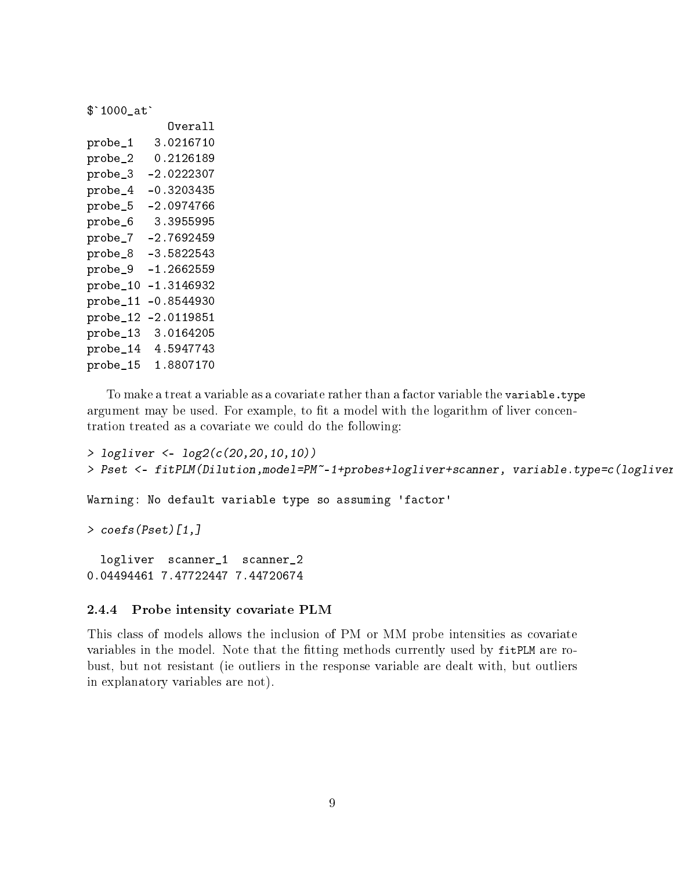\$`1000\_at`

|          | Overall      |
|----------|--------------|
| probe_1  | 3.0216710    |
| probe_2  | 0.2126189    |
| probe_3  | $-2.0222307$ |
| probe_4  | $-0.3203435$ |
| probe_5  | $-2.0974766$ |
| probe_6  | 3.3955995    |
| probe_7  | $-2.7692459$ |
| probe_8  | $-3.5822543$ |
| probe_9  | $-1.2662559$ |
| probe_10 | $-1.3146932$ |
| probe_11 | $-0.8544930$ |
| probe_12 | $-2.0119851$ |
| probe_13 | 3.0164205    |
| probe_14 | 4.5947743    |
| probe_15 | 1.8807170    |

To make a treat a variable as a covariate rather than a factor variable the variable.type argument may be used. For example, to fit a model with the logarithm of liver concentration treated as a covariate we could do the following:

```
> logliver <- log2(c(20,20,10,10))
> Pset <- fitPLM(Dilution,model=PM~-1+probes+logliver+scanner, variable.type=c(logliver
Warning: No default variable type so assuming 'factor'
> coefs(Pset)[1,]
  logliver scanner_1 scanner_2
0.04494461 7.47722447 7.44720674
```
#### <span id="page-8-0"></span>2.4.4 Probe intensity covariate PLM

This class of models allows the inclusion of PM or MM probe intensities as covariate variables in the model. Note that the fitting methods currently used by fitPLM are robust, but not resistant (ie outliers in the response variable are dealt with, but outliers in explanatory variables are not).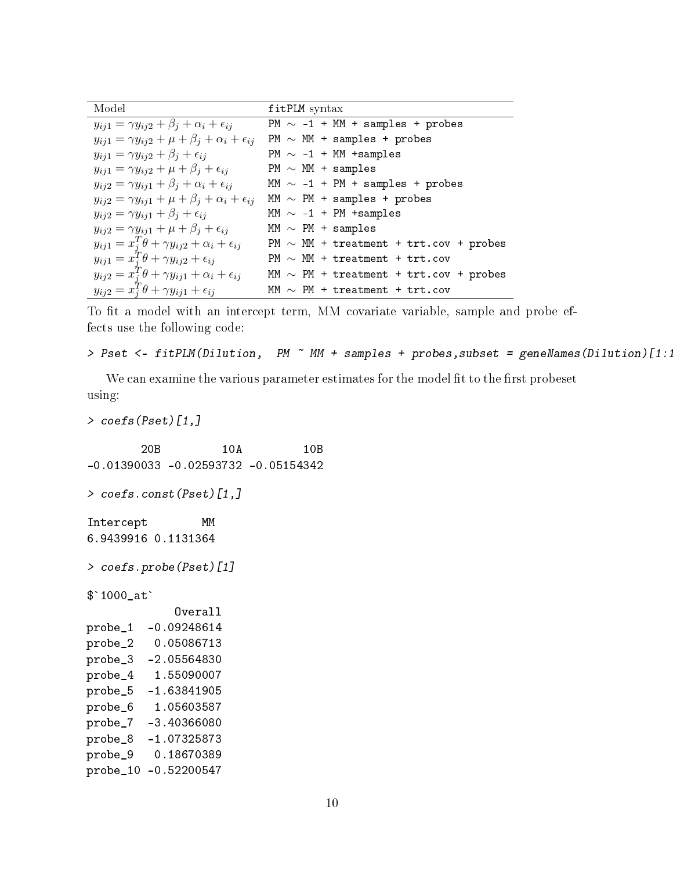| Model                                                                 | fitPLM syntax                               |
|-----------------------------------------------------------------------|---------------------------------------------|
| $y_{ij1} = \gamma y_{ij2} + \beta_j + \alpha_i + \epsilon_{ij}$       | PM $\sim$ -1 + MM + samples + probes        |
| $y_{ij1} = \gamma y_{ij2} + \mu + \beta_j + \alpha_i + \epsilon_{ij}$ | $PM \sim MM + samples + probes$             |
| $y_{ij1} = \gamma y_{ij2} + \beta_i + \epsilon_{ij}$                  | $PM \sim -1$ + MM +samples                  |
| $y_{ij1} = \gamma y_{ij2} + \mu + \beta_j + \epsilon_{ij}$            | $PM \sim MM + samples$                      |
| $y_{ij2} = \gamma y_{ij1} + \beta_j + \alpha_i + \epsilon_{ij}$       | MM $\sim$ -1 + PM + samples + probes        |
| $y_{ij2} = \gamma y_{ij1} + \mu + \beta_j + \alpha_i + \epsilon_{ij}$ | MM $\sim$ PM + samples + probes             |
| $y_{ij2} = \gamma y_{ij1} + \beta_j + \epsilon_{ij}$                  | MM $\sim$ -1 + PM +samples                  |
| $y_{ij2} = \gamma y_{ij1} + \mu + \beta_i + \epsilon_{ij}$            | MM $\sim$ PM + samples                      |
| $y_{ij1} = x_i^T \theta + \gamma y_{ij2} + \alpha_i + \epsilon_{ij}$  | PM $\sim$ MM + treatment + trt.cov + probes |
| $y_{ij1} = x_i^T \theta + \gamma y_{ij2} + \epsilon_{ij}$             | $PM \sim MM + treatment + trt.cov$          |
| $y_{ij2} = x_i^T \theta + \gamma y_{ij1} + \alpha_i + \epsilon_{ij}$  | MM $\sim$ PM + treatment + trt.cov + probes |
| $y_{ij2} = x_i^T \theta + \gamma y_{ij1} + \epsilon_{ij}$             | MM $\sim$ PM + treatment + trt.cov          |

To fit a model with an intercept term, MM covariate variable, sample and probe effects use the following code:

```
> Pset <- fitPLM(Dilution, PM ~ MM + samples + probes, subset = geneNames(Dilution)[1:1000]
```
We can examine the various parameter estimates for the model fit to the first probeset using:

```
> coefs(Pset)[1,]
       20B 10A 10B
-0.01390033 -0.02593732 -0.05154342
> coefs.const(Pset)[1,]
Intercept MM
6.9439916 0.1131364
> coefs.probe(Pset)[1]
$`1000_at`
            Overall
probe_1 -0.09248614
probe_2 0.05086713
probe_3 -2.05564830
probe_4 1.55090007
probe_5 -1.63841905
probe_6 1.05603587
probe_7 -3.40366080
probe_8 -1.07325873
probe_9 0.18670389
probe_10 -0.52200547
```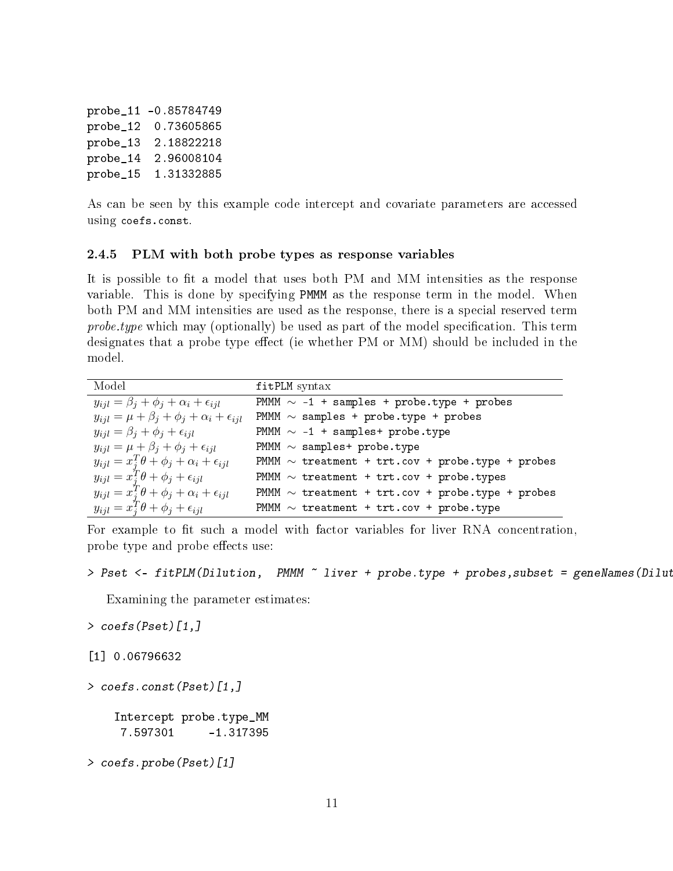probe\_11 -0.85784749 probe\_12 0.73605865 probe\_13 2.18822218 probe\_14 2.96008104 probe\_15 1.31332885

As can be seen by this example code intercept and covariate parameters are accessed using coefs.const.

#### <span id="page-10-0"></span>2.4.5 PLM with both probe types as response variables

It is possible to fit a model that uses both PM and MM intensities as the response variable. This is done by specifying PMMM as the response term in the model. When both PM and MM intensities are used as the response, there is a special reserved term probe.type which may (optionally) be used as part of the model specification. This term designates that a probe type effect (ie whether PM or MM) should be included in the model.

| Model                                                          | fitPLM syntax                                         |
|----------------------------------------------------------------|-------------------------------------------------------|
| $y_{ijl} = \beta_j + \phi_j + \alpha_i + \epsilon_{ijl}$       | PMMM $\sim$ -1 + samples + probe.type + probes        |
| $y_{ijl} = \mu + \beta_j + \phi_j + \alpha_i + \epsilon_{ijl}$ | PMMM $\sim$ samples + probe.type + probes             |
| $y_{ijl} = \beta_j + \phi_j + \epsilon_{ijl}$                  | PMMM $\sim$ -1 + samples+ probe.type                  |
| $y_{ijl} = \mu + \beta_j + \phi_j + \epsilon_{ijl}$            | PMMM $\sim$ samples+ probe.type                       |
| $y_{ijl} = x_j^T \theta + \phi_j + \alpha_i + \epsilon_{ijl}$  | PMMM $\sim$ treatment + trt.cov + probe.type + probes |
| $y_{ijl} = x_i^T \theta + \phi_j + \epsilon_{ijl}$             | PMMM $\sim$ treatment + trt.cov + probe.types         |
| $y_{ijl} = x_i^T \theta + \phi_j + \alpha_i + \epsilon_{ijl}$  | PMMM $\sim$ treatment + trt.cov + probe.type + probes |
| $y_{ijl} = x_i^T \theta + \phi_j + \epsilon_{ijl}$             | PMMM $\sim$ treatment + trt.cov + probe.type          |

For example to fit such a model with factor variables for liver RNA concentration. probe type and probe effects use:

```
> Pset <- fitPLM(Dilution, PMMM ~ liver + probe.type + probes, subset = geneNames(Dilut
```
Examining the parameter estimates:

```
> coefs(Pset)[1,]
```
[1] 0.06796632

> coefs.const(Pset)[1,]

Intercept probe.type\_MM 7.597301 -1.317395

```
> coefs.probe(Pset)[1]
```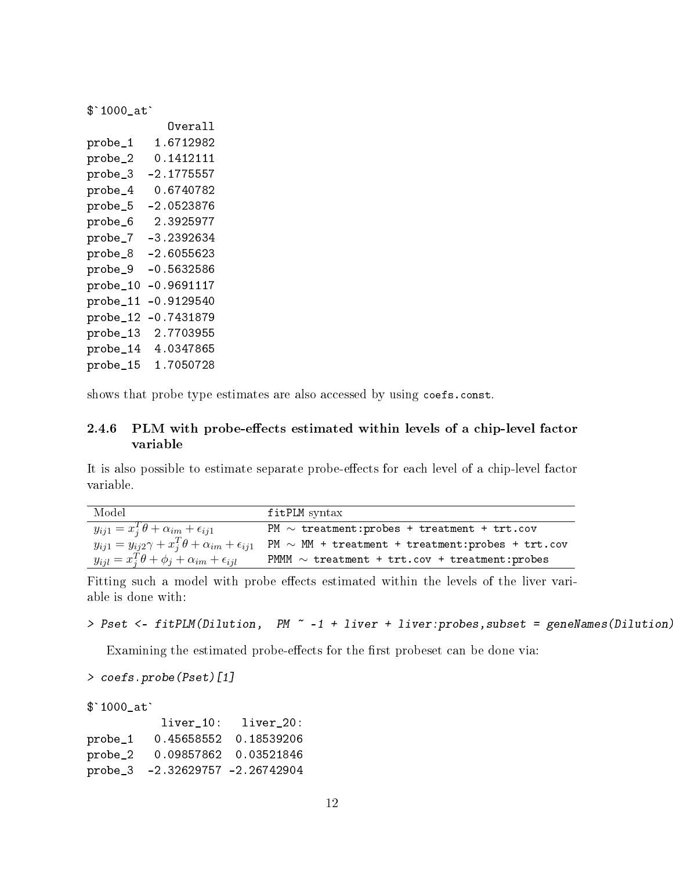\$`1000\_at`

|          | Overall      |
|----------|--------------|
| probe_1  | 1.6712982    |
| probe_2  | 0.1412111    |
| probe_3  | $-2.1775557$ |
| probe_4  | 0.6740782    |
| probe_5  | $-2.0523876$ |
| probe_6  | 2.3925977    |
| probe_7  | $-3.2392634$ |
| probe_8  | $-2.6055623$ |
| probe_9  | $-0.5632586$ |
| probe_10 | $-0.9691117$ |
| probe_11 | $-0.9129540$ |
| probe_12 | $-0.7431879$ |
| probe_13 | 2.7703955    |
| probe_14 | 4.0347865    |
| probe_15 | 1.7050728    |

shows that probe type estimates are also accessed by using coefs.const.

#### <span id="page-11-0"></span>2.4.6 PLM with probe-effects estimated within levels of a chip-level factor variable

It is also possible to estimate separate probe-effects for each level of a chip-level factor variable.

| Model                                                                  | fitPLM syntax                                          |
|------------------------------------------------------------------------|--------------------------------------------------------|
| $y_{ij1} = x_i^T \theta + \alpha_{im} + \epsilon_{ij1}$                | PM $\sim$ treatment: probes + treatment + trt.cov      |
| $y_{ij1} = y_{ij2}\gamma + x_i^T\theta + \alpha_{im} + \epsilon_{ij1}$ | PM $\sim$ MM + treatment + treatment: probes + trt.cov |
| $y_{ijl} = x_j^T \theta + \phi_j + \alpha_{im} + \epsilon_{ijl}$       | PMMM $\sim$ treatment + trt.cov + treatment: probes    |

Fitting such a model with probe effects estimated within the levels of the liver variable is done with:

```
> Pset <- fitPLM(Dilution, PM ~ -1 + liver + liver:probes, subset = geneNames(Dilution)
```
Examining the estimated probe-effects for the first probeset can be done via:

```
> coefs.probe(Pset)[1]
```
\$`1000\_at`

|           |                                 | liver 10: liver 20:   |
|-----------|---------------------------------|-----------------------|
| probe_1   |                                 | 0.45658552 0.18539206 |
| $probe_2$ |                                 |                       |
|           | probe_3 -2.32629757 -2.26742904 |                       |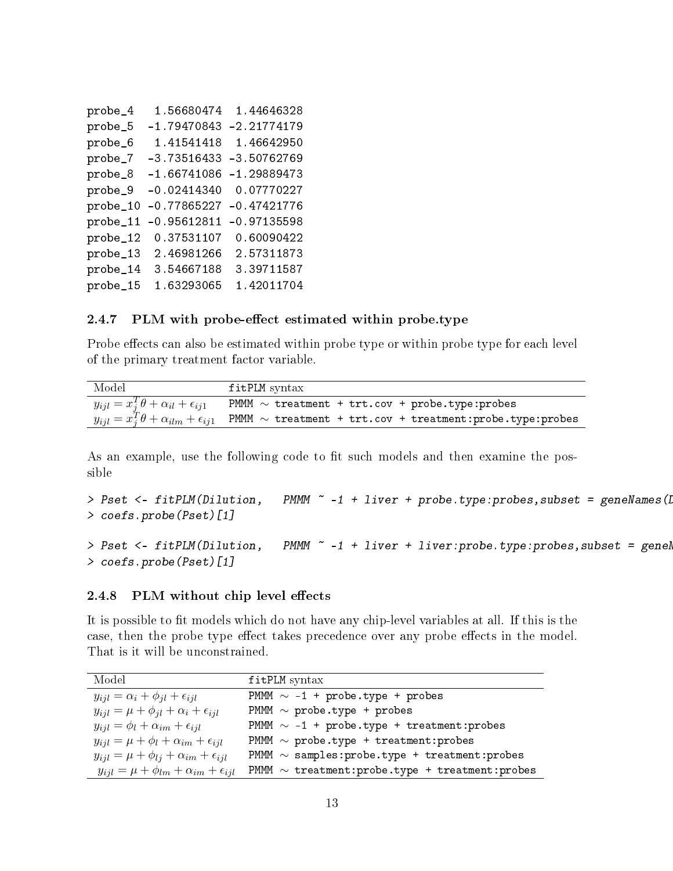| 1.56680474    | 1.44646328    |
|---------------|---------------|
| $-1.79470843$ | $-2.21774179$ |
| 1.41541418    | 1.46642950    |
| $-3.73516433$ | $-3.50762769$ |
| $-1.66741086$ | $-1.29889473$ |
| $-0.02414340$ | 0.07770227    |
| $-0.77865227$ | $-0.47421776$ |
| $-0.95612811$ | $-0.97135598$ |
| 0.37531107    | 0.60090422    |
| 2.46981266    | 2.57311873    |
| 3.54667188    | 3.39711587    |
| 1.63293065    | 1.42011704    |
|               |               |

#### <span id="page-12-0"></span>2.4.7 PLM with probe-effect estimated within probe.type

Probe effects can also be estimated within probe type or within probe type for each level of the primary treatment factor variable.

| Model                                                   | fitPLM syntax                                                                                                          |
|---------------------------------------------------------|------------------------------------------------------------------------------------------------------------------------|
| $y_{ijl} = x_j^T \theta + \alpha_{il} + \epsilon_{ij1}$ | PMMM $\sim$ treatment + trt.cov + probe.type: probes                                                                   |
|                                                         | $y_{ijl} = x_j^T \theta + \alpha_{ilm} + \epsilon_{ij1}$ PMMM $\sim$ treatment + trt.cov + treatment:probe.type:probes |

As an example, use the following code to fit such models and then examine the possible

```
> Pset <- fitPLM(Dilution, PMMM ~ -1 + liver + probe.type:probes,subset = geneNames(Dilution)[1:100])
> coefs.probe(Pset)[1]
> Pset <- fitPLM(Dilution, PMMM ~ -1 + liver + liver:probe.type:probes,subset = genel
> coefs.probe(Pset)[1]
```
#### <span id="page-12-1"></span> $2.4.8$  PLM without chip level effects

It is possible to fit models which do not have any chip-level variables at all. If this is the case, then the probe type effect takes precedence over any probe effects in the model. That is it will be unconstrained.

| Model                                                      | fitPLM syntax                                         |
|------------------------------------------------------------|-------------------------------------------------------|
| $y_{ijl} = \alpha_i + \phi_{jl} + \epsilon_{ijl}$          | PMMM $\sim$ -1 + probe.type + probes                  |
| $y_{i} = \mu + \phi_{i} + \alpha_i + \epsilon_{i}$         | PMMM $\sim$ probe.type + probes                       |
| $y_{ijl} = \phi_l + \alpha_{im} + \epsilon_{ijl}$          | PMMM $\sim$ -1 + probe.type + treatment: probes       |
| $y_{ijl} = \mu + \phi_l + \alpha_{im} + \epsilon_{ijl}$    | PMMM $\sim$ probe.type + treatment: probes            |
| $y_{ijl} = \mu + \phi_{lj} + \alpha_{im} + \epsilon_{ijl}$ | PMMM $\sim$ samples: probe.type + treatment: probes   |
| $y_{ijl} = \mu + \phi_{lm} + \alpha_{im} + \epsilon_{ijl}$ | PMMM $\sim$ treatment: probe.type + treatment: probes |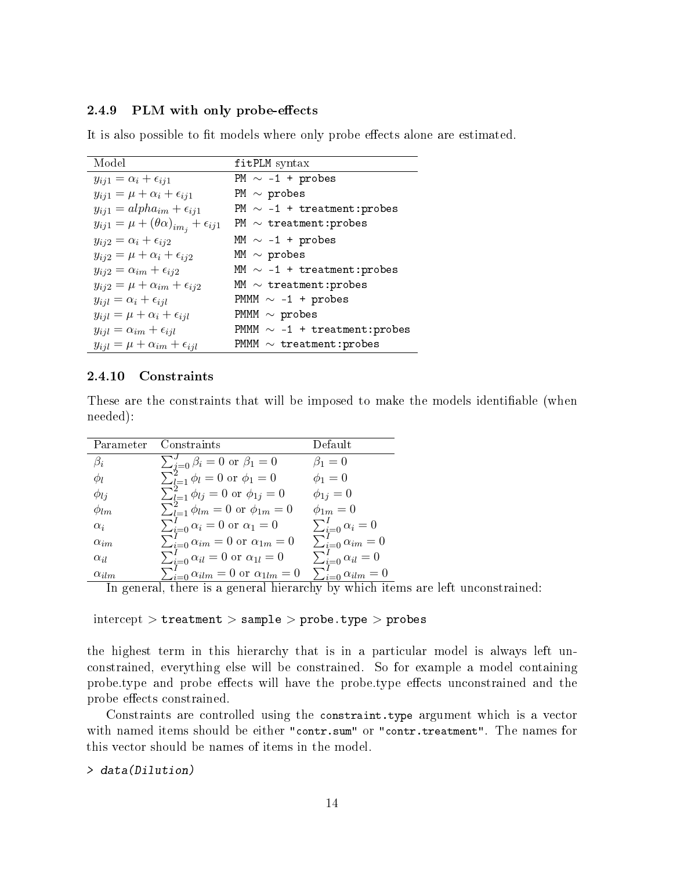#### <span id="page-13-0"></span>2.4.9 PLM with only probe-effects

It is also possible to fit models where only probe effects alone are estimated.

| Model                                                     | fitPLM syntax                      |
|-----------------------------------------------------------|------------------------------------|
| $y_{ij1} = \alpha_i + \epsilon_{ij1}$                     | PM $\sim$ -1 + probes              |
| $y_{ij1} = \mu + \alpha_i + \epsilon_{ij1}$               | PM $\sim$ probes                   |
| $y_{ij1} = alpha_{im} + \epsilon_{ij1}$                   | PM $\sim$ -1 + treatment: probes   |
| $y_{ij1} = \mu + (\theta \alpha)_{im_i} + \epsilon_{ij1}$ | PM $\sim$ treatment: probes        |
| $y_{ij2} = \alpha_i + \epsilon_{ij2}$                     | MM $\sim$ -1 + probes              |
| $y_{ij2} = \mu + \alpha_i + \epsilon_{ij2}$               | MM $\sim$ probes                   |
| $y_{ij2} = \alpha_{im} + \epsilon_{ij2}$                  | MM $\sim$ -1 + treatment: probes   |
| $y_{ij2} = \mu + \alpha_{im} + \epsilon_{ij2}$            | MM $\sim$ treatment: probes        |
| $y_{ijl} = \alpha_i + \epsilon_{ijl}$                     | PMMM $\sim$ -1 + probes            |
| $y_{ijl} = \mu + \alpha_i + \epsilon_{ijl}$               | PMMM $\sim$ probes                 |
| $y_{ijl} = \alpha_{im} + \epsilon_{ijl}$                  | PMMM $\sim$ -1 + treatment: probes |
| $y_{ijl} = \mu + \alpha_{im} + \epsilon_{ijl}$            | PMMM $\sim$ treatment: probes      |

#### <span id="page-13-1"></span>2.4.10 Constraints

These are the constraints that will be imposed to make the models identifiable (when needed):

| Parameter      | Constraints                                                                                  | Default                            |
|----------------|----------------------------------------------------------------------------------------------|------------------------------------|
| $\beta_i$      | $\sum_{j=0}^{J} \beta_i = 0$ or $\beta_1 = 0$<br>$\sum_{l=1}^{2} \phi_l = 0$ or $\phi_1 = 0$ | $\beta_1=0$                        |
| Φı             |                                                                                              | $\phi_1=0$                         |
| $\phi_{lj}$    | $\sum_{l=1}^{2} \phi_{lj} = 0$ or $\phi_{1j} = 0$                                            | $\phi_{1j}=0$                      |
| $\phi_{lm}$    | $\sum_{l=1}^{2} \phi_{lm} = 0$ or $\phi_{1m} = 0$                                            | $\phi_{1m}=0$                      |
| $\alpha_i$     | $\sum_{i=0}^{I} \alpha_i = 0$ or $\alpha_1 = 0$                                              | $\sum_{i=0}^{I} \alpha_i = 0$      |
| $\alpha_{im}$  | $\sum_{i=0}^{I} \alpha_{im} = 0$ or $\alpha_{1m} = 0$                                        | $\sum_{i=0}^{i=0} \alpha_{im} = 0$ |
| $\alpha_{il}$  | $\sum_{i=0}^{I} \alpha_{il} = 0$ or $\alpha_{1l} = 0$                                        | $\sum_{i=0}^{I} \alpha_{il} = 0$   |
| $\alpha_{ilm}$ | $\sum_{i=0}^{I} \alpha_{ilm} = 0$ or $\alpha_{1lm} = 0$                                      | $\sum_{i=0}^{I} \alpha_{ilm} = 0$  |

In general, there is a general hierarchy by which items are left unconstrained:

 $intercept$  >  $t$ reatment > sample > probe.type > probes

the highest term in this hierarchy that is in a particular model is always left unconstrained, everything else will be constrained. So for example a model containing probe.type and probe effects will have the probe.type effects unconstrained and the probe effects constrained.

Constraints are controlled using the constraint.type argument which is a vector with named items should be either "contr.sum" or "contr.treatment". The names for this vector should be names of items in the model.

> data(Dilution)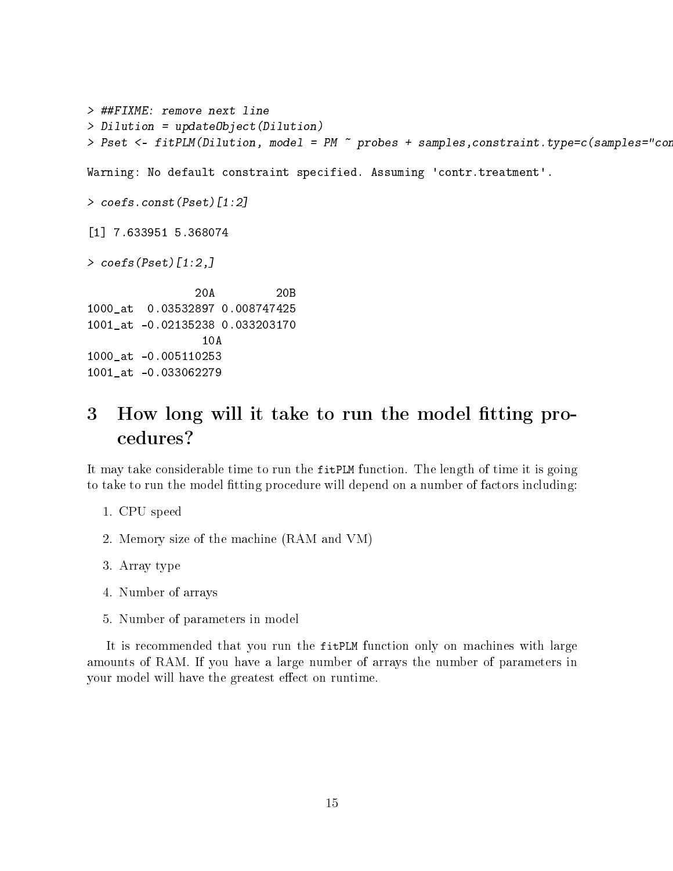```
> ##FIXME: remove next line
> Dilution = updateObject(Dilution)
> Pset <- fitPLM(Dilution, model = PM \tilde{ } probes + samples,constraint.type=c(samples="con
Warning: No default constraint specified. Assuming 'contr.treatment'.
> coefs.const(Pset)[1:2]
[1] 7.633951 5.368074
> coefs(Pset)[1:2,]
                20A 20B
1000_at 0.03532897 0.008747425
1001_at -0.02135238 0.033203170
                 10A
1000_at -0.005110253
1001_at -0.033062279
```
## <span id="page-14-0"></span>3 How long will it take to run the model fitting procedures?

It may take considerable time to run the fitPLM function. The length of time it is going to take to run the model fitting procedure will depend on a number of factors including:

- 1. CPU speed
- 2. Memory size of the machine (RAM and VM)
- 3. Array type
- 4. Number of arrays
- 5. Number of parameters in model

It is recommended that you run the fitPLM function only on machines with large amounts of RAM. If you have a large number of arrays the number of parameters in your model will have the greatest effect on runtime.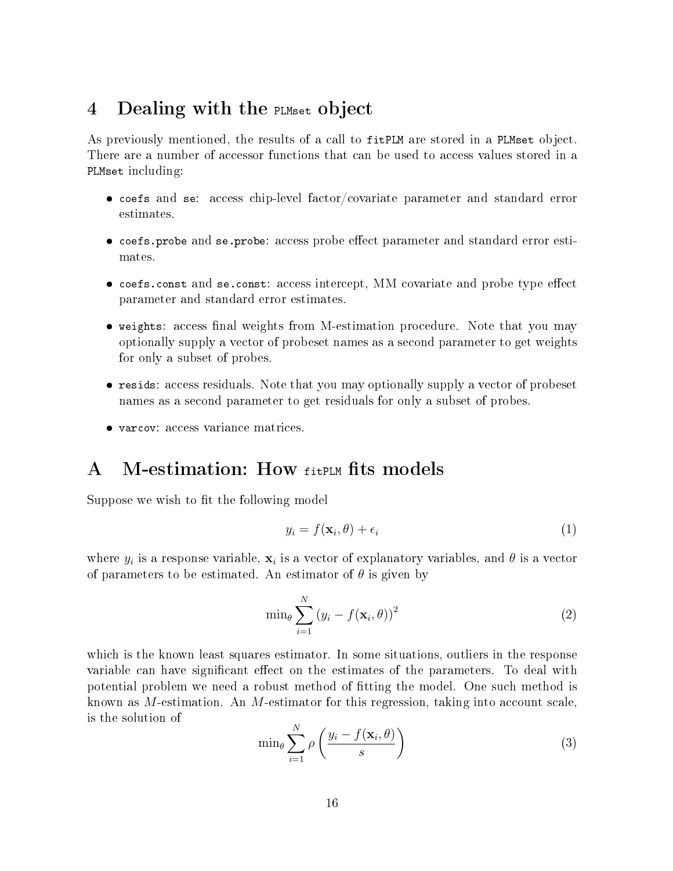## <span id="page-15-0"></span>4 Dealing with the PLMset object

As previously mentioned, the results of a call to fitPLM are stored in a PLMset object. There are a number of accessor functions that can be used to access values stored in a PLMset including:

- coefs and se: access chip-level factor/covariate parameter and standard error estimates.
- $\bullet$  coefs.probe and se.probe: access probe effect parameter and standard error estimates.
- $\bullet$  coefs.const and se.const: access intercept, MM covariate and probe type effect parameter and standard error estimates.
- weights: access final weights from M-estimation procedure. Note that you may optionally supply a vector of probeset names as a second parameter to get weights for only a subset of probes.
- resids: access residuals. Note that you may optionally supply a vector of probeset names as a second parameter to get residuals for only a subset of probes.
- varcov: access variance matrices.

## <span id="page-15-1"></span>A M-estimation: How fitplm fits models

Suppose we wish to fit the following model

$$
y_i = f(\mathbf{x}_i, \theta) + \epsilon_i \tag{1}
$$

where  $y_i$  is a response variable,  $\mathbf{x}_i$  is a vector of explanatory variables, and  $\theta$  is a vector of parameters to be estimated. An estimator of  $\theta$  is given by

$$
\min_{\theta} \sum_{i=1}^{N} (y_i - f(\mathbf{x}_i, \theta))^2
$$
 (2)

which is the known least squares estimator. In some situations, outliers in the response variable can have significant effect on the estimates of the parameters. To deal with potential problem we need a robust method of tting the model. One such method is known as M-estimation. An M-estimator for this regression, taking into account scale, is the solution of

$$
\min_{\theta} \sum_{i=1}^{N} \rho\left(\frac{y_i - f(\mathbf{x}_i, \theta)}{s}\right) \tag{3}
$$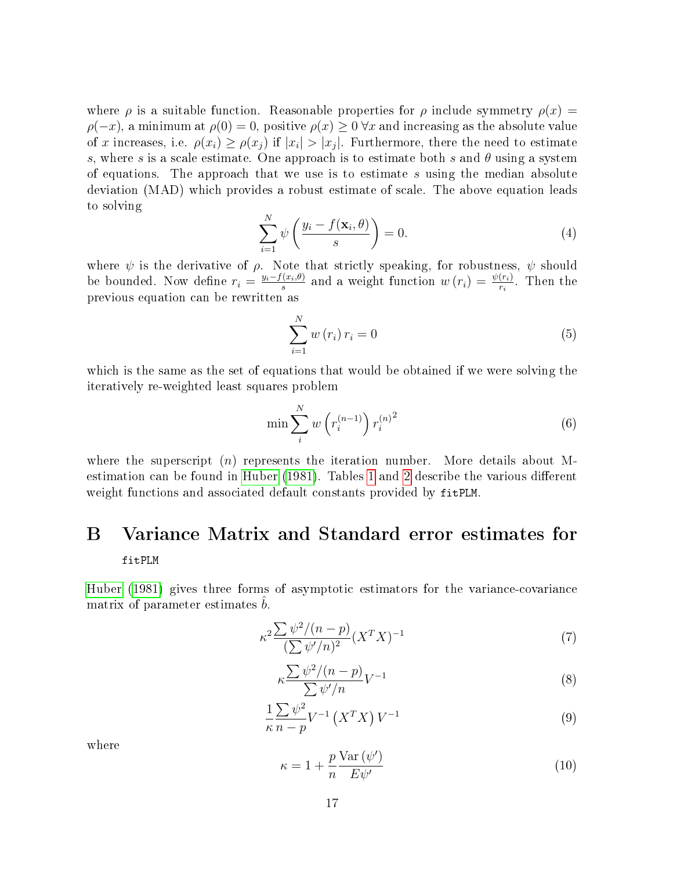where  $\rho$  is a suitable function. Reasonable properties for  $\rho$  include symmetry  $\rho(x)$  =  $\rho(-x)$ , a minimum at  $\rho(0) = 0$ , positive  $\rho(x) \geq 0 \,\forall x$  and increasing as the absolute value of x increases, i.e.  $\rho(x_i) \ge \rho(x_j)$  if  $|x_i| > |x_j|$ . Furthermore, there the need to estimate s, where s is a scale estimate. One approach is to estimate both s and  $\theta$  using a system of equations. The approach that we use is to estimate  $s$  using the median absolute deviation (MAD) which provides a robust estimate of scale. The above equation leads to solving

$$
\sum_{i=1}^{N} \psi\left(\frac{y_i - f(\mathbf{x}_i, \theta)}{s}\right) = 0.
$$
\n(4)

where  $\psi$  is the derivative of  $\rho$ . Note that strictly speaking, for robustness,  $\psi$  should be bounded. Now define  $r_i = \frac{y_i - f(x_i, \theta)}{s}$  $s^{(x_i,\theta)}$  and a weight function  $w(r_i) = \frac{\psi(r_i)}{r_i}$ . Then the previous equation can be rewritten as

$$
\sum_{i=1}^{N} w(r_i) r_i = 0
$$
\n(5)

which is the same as the set of equations that would be obtained if we were solving the iteratively re-weighted least squares problem

$$
\min \sum_{i}^{N} w\left(r_i^{(n-1)}\right) r_i^{(n)^2} \tag{6}
$$

where the superscript  $(n)$  represents the iteration number. More details about M-estimation can be found in [Huber](#page-18-0)  $(1981)$ . Tables [1](#page-17-0) and [2](#page-17-1) describe the various different weight functions and associated default constants provided by fitPLM.

## <span id="page-16-0"></span>B Variance Matrix and Standard error estimates for

#### fitPLM

[Huber](#page-18-0) [\(1981\)](#page-18-0) gives three forms of asymptotic estimators for the variance-covariance matrix of parameter estimates  $\hat{b}$ .

$$
\kappa^2 \frac{\sum \psi^2 / (n - p)}{\left(\sum \psi' / n\right)^2} (X^T X)^{-1} \tag{7}
$$

$$
\kappa \frac{\sum \psi^2/(n-p)}{\sum \psi'/n} V^{-1}
$$
\n(8)

$$
\frac{1}{\kappa} \frac{\sum \psi^2}{n-p} V^{-1} \left( X^T X \right) V^{-1} \tag{9}
$$

where

$$
\kappa = 1 + \frac{p}{n} \frac{\text{Var}(\psi')}{E \psi'} \tag{10}
$$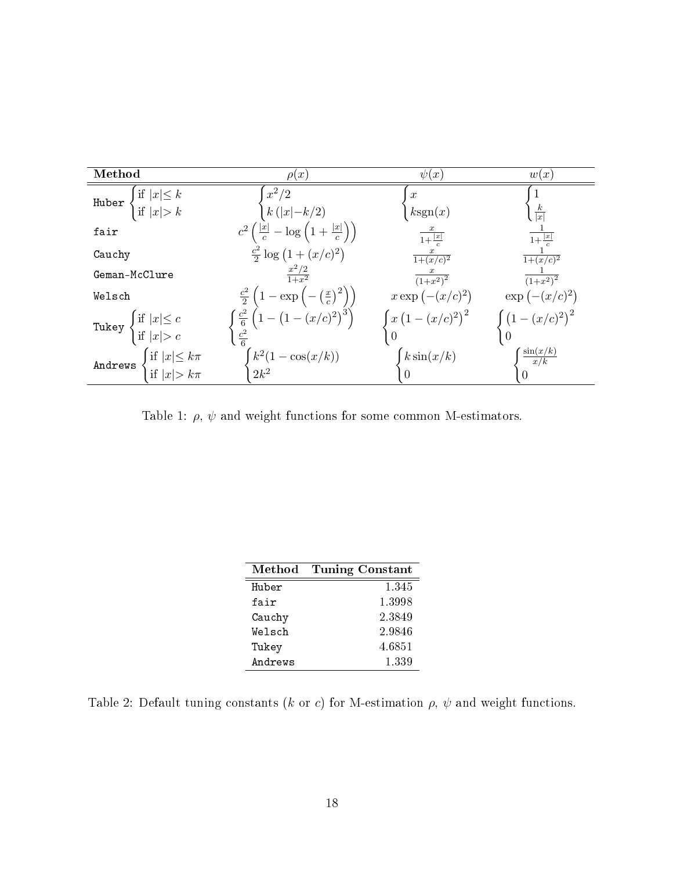| Method                                                                        | $\rho(x)$                                                                                                                                                        | $\psi(x)$                   | w(x)                          |
|-------------------------------------------------------------------------------|------------------------------------------------------------------------------------------------------------------------------------------------------------------|-----------------------------|-------------------------------|
| Huber $\begin{cases} \text{if }  x  \leq k \\ \text{if }  x  > k \end{cases}$ | $x^2/2$                                                                                                                                                          | $\boldsymbol{x}$            |                               |
|                                                                               | $k( x -k/2)$                                                                                                                                                     | ksgn(x)                     | $\frac{k}{ x }$               |
| fair                                                                          | $c^2\left(\frac{ x }{c}-\log\left(1+\frac{ x }{c}\right)\right)$                                                                                                 | $\frac{x}{1+\frac{ x }{c}}$ | $\frac{ x }{1+\frac{ x }{a}}$ |
| Cauchy                                                                        | $\frac{c^2}{2} \log (1 + (x/c)^2)$                                                                                                                               | $\frac{x}{1+(x/c)^2}$       | $\frac{1}{1+(x/c)^2}$         |
| Geman-McClure                                                                 | $rac{x^2/2}{1+x^2}$                                                                                                                                              | $\frac{x}{(1+x^2)^2}$       | $\frac{1}{(1+x^2)^2}$         |
| Welsch                                                                        | $\begin{array}{c} \frac{c^2}{2}\left(1-\exp{\left(-\left(\frac{x}{c}\right)^2\right)}\right)\\ \frac{c^2}{6}\left(1-\left(1-(x/c)^2\right)^3\right) \end{array}$ | $x \exp(-(x/c)^2)$          | $\exp(-(x/c)^2)$              |
| Tukey $\begin{cases} \text{if }  x  \leq c \\ \text{if }  x  > c \end{cases}$ |                                                                                                                                                                  | $\int x (1-(x/c)^2)^2$      | $\int (1-(x/c)^2)^2$          |
|                                                                               | $\frac{c^2}{6}$                                                                                                                                                  |                             |                               |
| $\int \text{if }  x  \leq k\pi$ $\int \text{if }  x  > k\pi$<br>Andrews       | $\int k^2(1-\cos(x/k))$<br>  2k <sup>2</sup>                                                                                                                     | $k\sin(x/k)$                | $\frac{\sin(x/k)}{x/k}$       |
|                                                                               |                                                                                                                                                                  |                             | $\Omega$                      |

<span id="page-17-0"></span>Table 1:  $\rho,\,\psi$  and weight functions for some common M-estimators.

| Method  | Tuning Constant |
|---------|-----------------|
| Huber   | 1.345           |
| fair    | 1 3 9 9 8       |
| Cauchy  | 2.3849          |
| Welsch  | 2.9846          |
| Tukey   | 4.6851          |
| Andrews | 1.339           |

<span id="page-17-1"></span>Table 2: Default tuning constants ( $k$  or  $c$ ) for M-estimation  $\rho$ ,  $\psi$  and weight functions.